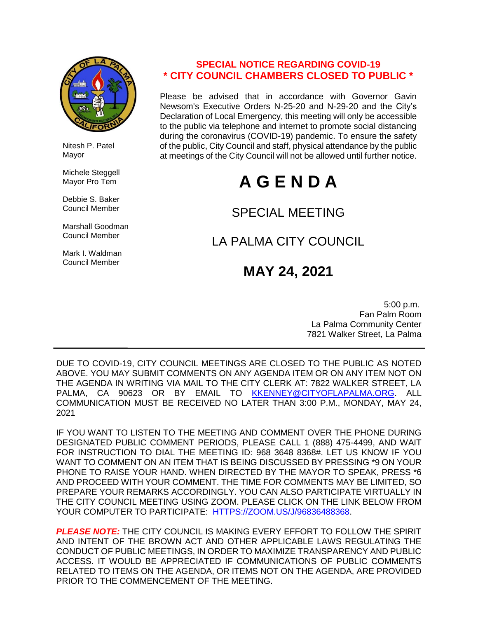

 Nitesh P. Patel Mayor

 Michele Steggell Mayor Pro Tem

 Debbie S. Baker Council Member

 Marshall Goodman Council Member

 Mark I. Waldman Council Member

### **SPECIAL NOTICE REGARDING COVID-19 \* CITY COUNCIL CHAMBERS CLOSED TO PUBLIC \***

Please be advised that in accordance with Governor Gavin Newsom's Executive Orders N-25-20 and N-29-20 and the City's Declaration of Local Emergency, this meeting will only be accessible to the public via telephone and internet to promote social distancing during the coronavirus (COVID-19) pandemic. To ensure the safety of the public, City Council and staff, physical attendance by the public at meetings of the City Council will not be allowed until further notice.

# **A G E N D A**

### SPECIAL MEETING

## LA PALMA CITY COUNCIL

## **MAY 24, 2021**

 5:00 p.m. Fan Palm Room La Palma Community Center 7821 Walker Street, La Palma

DUE TO COVID-19, CITY COUNCIL MEETINGS ARE CLOSED TO THE PUBLIC AS NOTED ABOVE. YOU MAY SUBMIT COMMENTS ON ANY AGENDA ITEM OR ON ANY ITEM NOT ON THE AGENDA IN WRITING VIA MAIL TO THE CITY CLERK AT: 7822 WALKER STREET, LA PALMA, CA 90623 OR BY EMAIL TO [KKENNEY@CITYOFLAPALMA.ORG.](mailto:KKENNEY@CITYOFLAPALMA.ORG) ALL COMMUNICATION MUST BE RECEIVED NO LATER THAN 3:00 P.M., MONDAY, MAY 24, 2021

IF YOU WANT TO LISTEN TO THE MEETING AND COMMENT OVER THE PHONE DURING DESIGNATED PUBLIC COMMENT PERIODS, PLEASE CALL 1 (888) 475-4499, AND WAIT FOR INSTRUCTION TO DIAL THE MEETING ID: 968 3648 8368#. LET US KNOW IF YOU WANT TO COMMENT ON AN ITEM THAT IS BEING DISCUSSED BY PRESSING \*9 ON YOUR PHONE TO RAISE YOUR HAND. WHEN DIRECTED BY THE MAYOR TO SPEAK, PRESS \*6 AND PROCEED WITH YOUR COMMENT. THE TIME FOR COMMENTS MAY BE LIMITED, SO PREPARE YOUR REMARKS ACCORDINGLY. YOU CAN ALSO PARTICIPATE VIRTUALLY IN THE CITY COUNCIL MEETING USING ZOOM. PLEASE CLICK ON THE LINK BELOW FROM YOUR COMPUTER TO PARTICIPATE: [HTTPS://ZOOM.US/J/96836488368.](https://zoom.us/j/96836488368)

*PLEASE NOTE:* THE CITY COUNCIL IS MAKING EVERY EFFORT TO FOLLOW THE SPIRIT AND INTENT OF THE BROWN ACT AND OTHER APPLICABLE LAWS REGULATING THE CONDUCT OF PUBLIC MEETINGS, IN ORDER TO MAXIMIZE TRANSPARENCY AND PUBLIC ACCESS. IT WOULD BE APPRECIATED IF COMMUNICATIONS OF PUBLIC COMMENTS RELATED TO ITEMS ON THE AGENDA, OR ITEMS NOT ON THE AGENDA, ARE PROVIDED PRIOR TO THE COMMENCEMENT OF THE MEETING.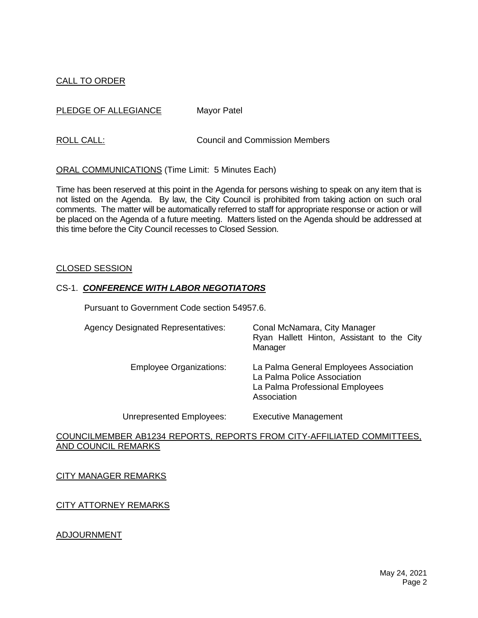### CALL TO ORDER

PLEDGE OF ALLEGIANCE Mayor Patel

ROLL CALL: COUNCIL CALL: Council and Commission Members

ORAL COMMUNICATIONS (Time Limit: 5 Minutes Each)

Time has been reserved at this point in the Agenda for persons wishing to speak on any item that is not listed on the Agenda. By law, the City Council is prohibited from taking action on such oral comments. The matter will be automatically referred to staff for appropriate response or action or will be placed on the Agenda of a future meeting. Matters listed on the Agenda should be addressed at this time before the City Council recesses to Closed Session.

#### CLOSED SESSION

#### CS-1. *CONFERENCE WITH LABOR NEGOTIATORS*

Pursuant to Government Code section 54957.6.

| <b>Agency Designated Representatives:</b> | Conal McNamara, City Manager<br>Ryan Hallett Hinton, Assistant to the City<br>Manager                                   |
|-------------------------------------------|-------------------------------------------------------------------------------------------------------------------------|
| <b>Employee Organizations:</b>            | La Palma General Employees Association<br>La Palma Police Association<br>La Palma Professional Employees<br>Association |
| Unrepresented Employees:                  | <b>Executive Management</b>                                                                                             |

#### COUNCILMEMBER AB1234 REPORTS, REPORTS FROM CITY-AFFILIATED COMMITTEES, AND COUNCIL REMARKS

CITY MANAGER REMARKS

CITY ATTORNEY REMARKS

ADJOURNMENT